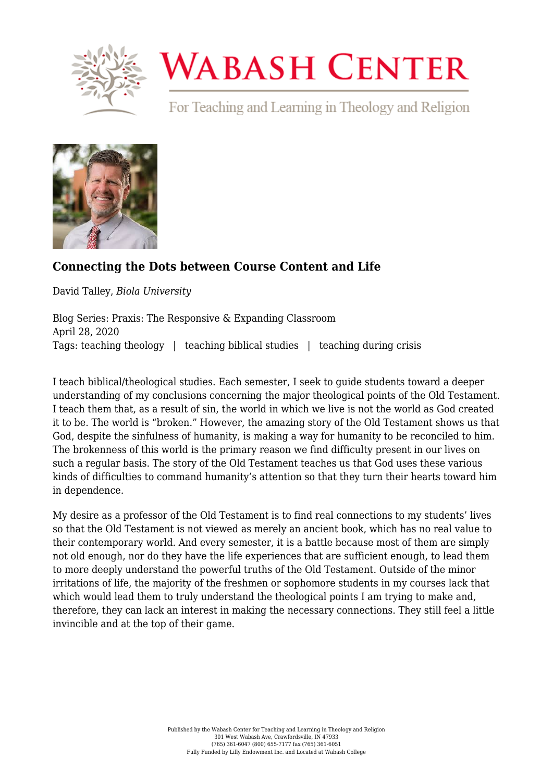

## **WABASH CENTER**

For Teaching and Learning in Theology and Religion



## **[Connecting the Dots between Course Content and Life](https://www.wabashcenter.wabash.edu/2020/04/connecting-the-dots-between-course-content-and-life/)**

David Talley, *Biola University*

Blog Series: Praxis: The Responsive & Expanding Classroom April 28, 2020 Tags: teaching theology | teaching biblical studies | teaching during crisis

I teach biblical/theological studies. Each semester, I seek to guide students toward a deeper understanding of my conclusions concerning the major theological points of the Old Testament. I teach them that, as a result of sin, the world in which we live is not the world as God created it to be. The world is "broken." However, the amazing story of the Old Testament shows us that God, despite the sinfulness of humanity, is making a way for humanity to be reconciled to him. The brokenness of this world is the primary reason we find difficulty present in our lives on such a regular basis. The story of the Old Testament teaches us that God uses these various kinds of difficulties to command humanity's attention so that they turn their hearts toward him in dependence.

My desire as a professor of the Old Testament is to find real connections to my students' lives so that the Old Testament is not viewed as merely an ancient book, which has no real value to their contemporary world. And every semester, it is a battle because most of them are simply not old enough, nor do they have the life experiences that are sufficient enough, to lead them to more deeply understand the powerful truths of the Old Testament. Outside of the minor irritations of life, the majority of the freshmen or sophomore students in my courses lack that which would lead them to truly understand the theological points I am trying to make and, therefore, they can lack an interest in making the necessary connections. They still feel a little invincible and at the top of their game.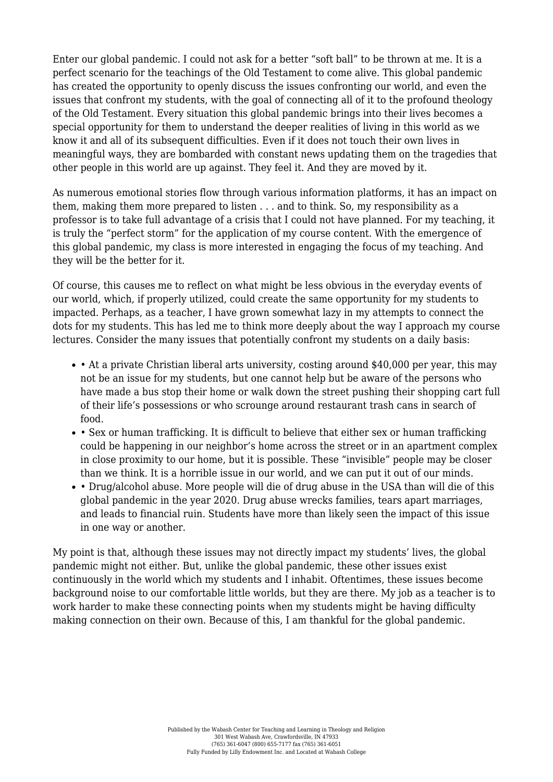Enter our global pandemic. I could not ask for a better "soft ball" to be thrown at me. It is a perfect scenario for the teachings of the Old Testament to come alive. This global pandemic has created the opportunity to openly discuss the issues confronting our world, and even the issues that confront my students, with the goal of connecting all of it to the profound theology of the Old Testament. Every situation this global pandemic brings into their lives becomes a special opportunity for them to understand the deeper realities of living in this world as we know it and all of its subsequent difficulties. Even if it does not touch their own lives in meaningful ways, they are bombarded with constant news updating them on the tragedies that other people in this world are up against. They feel it. And they are moved by it.

As numerous emotional stories flow through various information platforms, it has an impact on them, making them more prepared to listen . . . and to think. So, my responsibility as a professor is to take full advantage of a crisis that I could not have planned. For my teaching, it is truly the "perfect storm" for the application of my course content. With the emergence of this global pandemic, my class is more interested in engaging the focus of my teaching. And they will be the better for it.

Of course, this causes me to reflect on what might be less obvious in the everyday events of our world, which, if properly utilized, could create the same opportunity for my students to impacted. Perhaps, as a teacher, I have grown somewhat lazy in my attempts to connect the dots for my students. This has led me to think more deeply about the way I approach my course lectures. Consider the many issues that potentially confront my students on a daily basis:

- At a private Christian liberal arts university, costing around \$40,000 per year, this may not be an issue for my students, but one cannot help but be aware of the persons who have made a bus stop their home or walk down the street pushing their shopping cart full of their life's possessions or who scrounge around restaurant trash cans in search of food.
- Sex or human trafficking. It is difficult to believe that either sex or human trafficking could be happening in our neighbor's home across the street or in an apartment complex in close proximity to our home, but it is possible. These "invisible" people may be closer than we think. It is a horrible issue in our world, and we can put it out of our minds.
- Drug/alcohol abuse. More people will die of drug abuse in the USA than will die of this global pandemic in the year 2020. Drug abuse wrecks families, tears apart marriages, and leads to financial ruin. Students have more than likely seen the impact of this issue in one way or another.

My point is that, although these issues may not directly impact my students' lives, the global pandemic might not either. But, unlike the global pandemic, these other issues exist continuously in the world which my students and I inhabit. Oftentimes, these issues become background noise to our comfortable little worlds, but they are there. My job as a teacher is to work harder to make these connecting points when my students might be having difficulty making connection on their own. Because of this, I am thankful for the global pandemic.